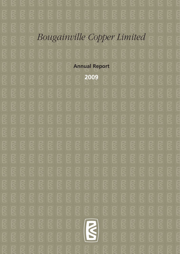**BBBBBBBBBBBBBBBB**<br>RR Bougainville Copper Limited **REE Annual Report & RRRRRRRP**2009 RRRR **EEEEEE**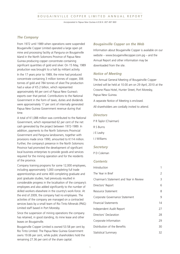#### BOUGAINVILLE COPPER LIMITED ANNUAL REPORT

*Incorporated in Papua New Guinea A.R.B.N. 007 497 869*

#### *The Company*

From 1972 until 1989 when operations were suspended Bougainville Copper Limited operated a large open pit mine and processing facility at Panguna on Bougainville Island in the North Solomons Province of Papua New Guinea producing copper concentrate containing significant quantities of gold and silver. On 15 May, 1989 production was brought to a halt by militant activity. In the 17 years prior to 1989, the mine had produced concentrate containing 3 million tonnes of copper, 306 tonnes of gold and 784 tonnes of silver.The production had a value of K5.2 billion, which represented approximately 44 per cent of Papua New Guinea's exports over that period. Contributions to the National Government in the form of taxes, duties and dividends were approximately 17 per cent of internally generated Papua New Guinea Government revenue during that time.

A total of K1,088 million was contributed to the National Government, which represented 62 per cent of the net cash generated by the project between 1972-1989. In addition, payments to the North Solomons Provincial Government and Panguna landowners, together with provisions made since 1990, amounted to K114 million. Further, the company's presence in the North Solomons Province had promoted the development of significant local business enterprises to provide goods and services required for the mining operation and for the residents of the province.

Company training programs for some 12,000 employees, including approximately 1,000 completing full trade apprenticeships and some 400 completing graduate and post graduate studies, had previously resulted in considerable progress in the localisation of the company's employees and also added significantly to the number of skilled workers elsewhere in the country's work-force. At the end of 2009, the company had no employees. The activities of the company are managed on a contracted services basis by a small team of Rio Tinto Minerals (PNG) Limited staff based in Port Moresby.

Since the suspension of mining operations the company has retained, in good standing, its mine lease and other leases on Bougainville.

Bougainville Copper Limited is owned 53.58 per cent by Rio Tinto Limited. The Papua New Guinea Government owns 19.06 per cent, while public shareholders hold the remaining 27.36 per cent of the share capital.

#### *Bougainville Copper on the Web*

Information about Bougainville Copper is available on our website – www.bougainvillecopper.com.pg – and the Annual Report and other information may be downloaded from the site.

#### *Notice of Meeting*

The Annual General Meeting of Bougainville Copper Limited will be held at 10.00 am on 29 April, 2010 at the Crowne Plaza Hotel, Hunter Street, Port Moresby, Papua New Guinea.

A separate Notice of Meeting is enclosed.

All shareholders are cordially invited to attend.

#### *Directors*

- P R Taylor (Chairman)
- R S Burns
- J E Leahy
- I J Williams

#### *Secretary*

P D Coleman

#### *Contents*

| 1  |
|----|
| 2  |
| 3  |
| 6  |
| 8  |
| 9  |
| 14 |
| 27 |
| 28 |
| 29 |
| 30 |
| 32 |
|    |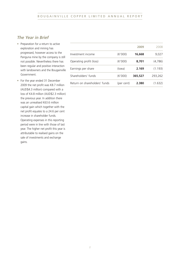# *The Year in Brief*

- **•** Preparation for a return to active exploration and mining has progressed, however access to the Panguna mine by the company is still not possible. Nevertheless there has been regular and positive interaction with landowners and the Bougainville Government.
- **•** For the year ended 31 December 2009 the net profit was K8.7 million (AUD\$4.3 million) compared with a loss of K4.8 million (AUD\$2.3 million) the previous year. In addition there was an unrealised K63.6 million capital gain which together with the net profit equates to a 24.6 per cent increase in shareholder funds. Operating expenses in this reporting period were in line with those of last year. The higher net profit this year is attributable to realised gains on the sale of investments and exchange gains.

|            | 2009    | 2008    |
|------------|---------|---------|
| (K'000)    | 16,668  | 9,027   |
| (K'000)    | 8,701   | (4,786) |
| (toea)     | 2.169   | (1.193) |
| (K'000)    | 365,527 | 293,262 |
| (per cent) | 2.380   | (1.632) |
|            |         |         |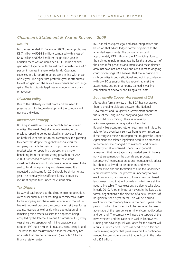## *Chairman's Statement & Year in Review – 2009*

#### *Results*

For the year ended 31 December 2009 the net profit was K8.7 million (AUD\$4.3 million) compared with a loss of K4.8 million (AUD\$2.3 million) the previous year. In addition there was an unrealised K63.6 million capital gain which together with the net profit equates to a 24.6 per cent increase in shareholder funds. Operating expenses in this reporting period were in line with those of last year. The higher net profit this year is attributable to realised gains on the sale of investments and exchange gains. The tax dispute legal fees continue to be a drain on revenue.

#### *Dividend Policy*

Due to the relatively modest profit and the need to preserve cash for future development the company will not pay a dividend.

#### *Investment Strategy*

BCL's liquid assets continue to be cash and Australian equities. The weak Australian equity market in the previous reporting period resulted in an adverse impact on both value of and return on investments. It is pleasing to report that despite the global financial crisis the company was able to maintain its portfolio save for modest sales for operating purposes and is now benefiting from the recent strong growth in the ASX 200. It is intended to continue with the current investment strategy until such time as equities need to be sold to fund mine planning and development. It is expected that income for 2010 should be similar to last year. The company has sufficient funds to cover its recurrent expenditure under the current plan.

#### *Tax Dispute*

By way of background to the dispute, mining operations were suspended in 1989 resulting in considerable losses to the company and these losses continue to mount. In line with normal practice the company offset those losses against revenue as well as claiming depreciation of its remaining mine assets. Despite this approach being accepted by the Internal Revenue Commission (IRC) every year since the suspension of mining operations a targeted IRC audit resulted in reassessments being issued. The basis for the reassessment is that the company has no assets that can be depreciated. (See note 14 to the financial statements).

BCL has taken expert legal and accounting advice and based on that advice lodged formal objections to the amended assessments. The company has paid approximately K13 million to the IRC which is close to the claimed unpaid primary tax. By far the largest part of the claim is for penalties and interest and these claimed amounts have not been paid and are subject to ongoing court proceedings. BCL believes that the imposition of such penalties is unconstitutional and not in accordance with law. BCL's substantive tax appeals against the assessments and other amounts claimed is waiting completion of discovery and fixing a trial date.

## *Bougainville Copper Agreement (BCA)*

Although a formal review of the BCA has not started there is ongoing dialogue between the National Government and Bougainville Government about the future of the Panguna ore body and government responsibility for mining. There is increasing acknowledgement among stakeholders that Bougainville's economic future needs mining if it is to be able to fund even basic services from its own resources. If the Panguna mine is to reopen the Bougainville Copper Agreement and related legislation need to be amended to accommodate changed circumstances and provide certainty for all concerned. There is also general agreement that negotiations are needed even if there is not yet agreement on the agenda and process. Landowners' representation at any negotiations is critical but there is still work to be done on landowner reconciliation and the formation of a united landowner representative body. The process is underway to hold elections among landowners to form a new combined landowner group that will provide a united voice at the negotiating table. Those elections are due to take place in early 2010. Another important event in the lead up to formal negotiations is the election of a new President of Bougainville for a 5 year term. This will be a crucial election for the company because the next 5 years is the period in which the mine should be reopened to take advantage of the resurgence in mineral commodity prices and demand. The company will need the support of the new President and the cabinet as well as landowners. Funding and sovereign risk assurance for the project will require a united effort. There will need to be a fair and stable mining regime that gives investors the confidence needed to commit to a project that will cost in the order of US\$3 billion.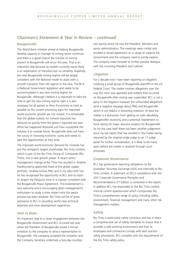## *Chairman's Statement & Year in Review – continued*

#### *Bougainville*

The World Bank initiative aimed at helping Bougainville develop capacity to manage its mining sector continues and there is a good chance the transfer of mining powers to Bougainville will occur this year. That is an important step because as matters currently stand there is an expectation of transition but no certainty. Hopefully the new Bougainville mining regime will be largely consistent with the National model to assist with a smooth transition from old regime to the new. The BCA is National Government legislation and needs to be accommodated in any new mining regime for Bougainville. Although I believe it is important to take the time to get the new mining regime right it is also necessary for all parties to drive the process as hard as possible so the current promising signs for improved world economic growth are not missed. It is remarkable that the global outlook for mineral resources has rebound so quickly from the gloom I reported last year. What has happened illustrates just how susceptible the industry is to outside forces. Bougainville does not have the luxury of choosing economic cycles and needs to take the opportunities as they arise.

The improved world economic demand for minerals has put the company's largest shareholder, Rio Tinto Limited, which is part of the Rio Tinto Group of Companies (Rio Tinto), into a new growth phase. A recent senior management change at Rio Tinto has resulted in Andrew Harding being appointed head of the global copper portfolio. Andrew knows PNG and in my talks with him he has recognised the opportunity at BCL and its vision to reopen the Panguna mine in a manner consistent with the Bougainville Peace Agreement. This endorsement is very welcome and is encouraging given management's enthusiasm to study a mine restart once the peace process has been resolved. Rio Tinto will be of great assistance to BCL in providing world class technical expertise and mine development experience.

### *Visit to Buka*

An important step to a closer engagement between the Bougainville Government and BCL occurred last year when the President of Bougainville issued a formal invitation to the company to send a representative to Bougainville. The company accepted the invitation and the Company Secretary undertook a two-day courtesy

visit during which he met the President, Ministers and senior administrators. The meetings were cordial and resulted in broad agreement on a range of subjects the Government and the company need to jointly explore. The company looks forward to further positive dialogue with the incoming President and Cabinet.

#### *Litigation*

For a decade now I have been reporting on litigation involving a small group of Bougainville plaintiffs in the US Federal Court. The matter involves allegations over the way the mine was operated and matters that occurred on Bougainville after mining was suspended. BCL is not a party to the litigation however the unfounded allegations send a negative message about PNG and Bougainville which is not helpful in attracting investors. At best the matter is a distraction from getting on with rebuilding Bougainville's economy and a potential impediment to fund raising for major resource projects for Bougainville. As for the case itself there has been another judgement since my last report that has resulted in the matter being returned by the original single judge to an 11 judge panel for further consideration. It is likely to be many years before the matter is resolved through court processes.

#### *Corporate Governance*

BCL has governance reporting obligations to the Australian Securities Exchange (ASX) and internally to Rio Tinto Limited. A statement on BCL's compliance with the ASX Corporate Governance Principles and Recommendations 2nd Edition is contained in this report. In addition BCL has responded to the Rio Tinto Limited internal control questionnaire which incorporates Rio Tinto's comprehensive range of policy including safety, environment, financial management and many other risk management matters.

#### *Safety*

Rio Tinto is particularly safety conscious and has in place a comprehensive set of safety standards to ensure that it provides a safe working environment and that its employees and contractors comply with best practice safety procedures. BCL complies with the requirements of the Rio Tinto safety policy.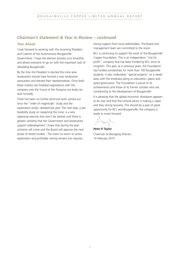## *Chairman's Statement & Year in Review – continued*

#### *Year Ahead*

I look forward to working with the incoming President and Cabinet of the Autonomous Bougainville Government. I hope the election process runs smoothly and allows everyone to go on with the important task of rebuilding Bougainville.

By the time the President is elected the mine area landowners should have formed a new landowner association and elected their representatives. Once both these matters are finalised negotiations with the company over the future of the Panguna ore body can start formally.

There has been no further technical work carried out since the "order of magnitude" study and the exploration study I detailed last year. The next step, a prefeasibility study on reopening the mine, is a very expensive exercise that won't be started until there is greater certainty that the Government and landowners support redevelopment. I hope that during the year certainty will come and the Board will approve the next phase of restart studies. The vision to return to active exploration and profitable mining remains but requires

strong support from local stakeholders. The Board and management team are committed to the vision. BCL is continuing to support the work of the Bougainville Copper Foundation. This is an independent, "not for profit", company that has been funded by BCL since its inception. This year, as in previous years, the Foundation has funded scholarships for more than 100 Bougainville students. It also undertakes "special projects" on a needs basis with the emphasis being on education, peace and good governance. The Foundation is proud of its achievements and those of its former scholars who are contributing to the development of Bougainville.

It is pleasing that the global economic slowdown appears to be over and that the mineral sector is making a rapid and they strong recovery. This should be a year of great opportunity for BCL and Bougainville; the company is ready to move forward.

*Peter R Taylor* Chairman & Managing Director. 10 February 2010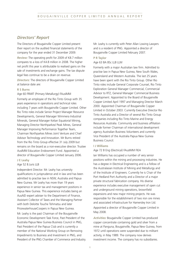# *Directors' Report*

The Directors of Bougainville Copper Limited present their report on the audited financial statements of the company for the year ended 31 December 2009.

*Review:* The operating profit for 2009 of K8.7 million compares to a loss of K4.8 million in 2008. The higher net profit this year is attributable to realised gains on the sale of investments and exchange gains. The tax dispute legal fees continue to be a drain on revenue.

*Directors:* The directors of Bougainville Copper Limited at balance date are:

#### **R S Burns**

Age 60 FRMIT (Primary Metallurgy) FAusIMM

Formerly an employee of the Rio Tinto Group with 35 years experience in operations and technical roles including 7 years with Bougainville Copper Limited. Other Rio Tinto roles include Senior Project Manager Resource Developments, General Manager Wimmera Industrial Minerals, General Manager Kelian Equatorial Mining, Managing Director Northparkes/ Peak Mines, General Manager Improving Performance Together Team, Chairman Northparkes Mines Joint Venture and Chief Advisor Technology and Innovation. Mr Burns retired from the Rio Tinto Group effective 31 July 2009 but remains on the board as a non-executive director. Trustee AusIMM Education Endowment Fund. Appointed a director of Bougainville Copper Limited January 2006.

#### **J E Leahy**

#### Age 52 B.Juris LLB

Independent Director. Mr. Leahy has university qualifications in jurisprudence and in law and has been admitted to practise law in NSW, Australia and Papua New Guinea. Mr Leahy has more than 19 years experience in senior tax and management positions in Papua New Guinea. This experience includes being an AusAID expert adviser to the Department of Finance, Assistant Collector of Taxes and the Managing Partner with both Deloitte Touche Tohmatsu and later PricewaterhouseCoopers in Papua New Guinea.

Mr. Leahy is the past Chairman of the Bougainville Economic Development Task Force, Past President of the Australia Papua New Guinea Business Council in PNG, Past President of the Papua Club and is currently a member of the National Working Group on Removing Impediments to Business and Investment in PNG, and President of the PNG Chamber of Commerce and Industry. Mr. Leahy is currently with Peter Allan Lowing Lawyers and is a resident of PNG. Appointed a director of Bougainville Copper Limited February 2007.

#### **P R Taylor**

#### Age 63 BA BSc LLB LLM

Formerly with a major Australian law firm. Admitted to practise law in Papua New Guinea, New South Wales, Queensland and Western Australia. The last 25 years have been spent with the Rio Tinto Group. Other Rio Tinto roles include General Corporate Counsel, Rio Tinto Exploration General Manager Commercial, Commercial Advisor to RTZ, General Manager Commercial Business Development. Appointed to the Board of Bougainville Copper Limited April 1997 and Managing Director March 2000. Appointed Chairman of Bougainville Copper Limited in October 2003. Currently Executive Director Rio Tinto Australia and a Director of several Rio Tinto Group companies including Rio Tinto Marine and Energy Resources Australia. Community and business affiliation include former Chairman of international development agency Australian Business Volunteers and currently Vice President of the Australia Papua New Guinea Business Council.

#### **I J Williams**

#### Age 72 B Eng (Electrical) FAusIMM FIEA

Ian Williams has occupied a number of very senior positions within the mining and processing industries. He has a degree in Electrical Engineering and is a Fellow of the Australasian Institute of Mining and Metallurgy and of the Institute of Engineers. Currently he is Chair of the Port Hedland Port Authority and a Director of a major private structural fabrication company. His diverse experience includes executive management of open cut and underground mining operations, brownfield expansions and new major mining projects. He was responsible for the establishment of two iron ore mines and associated infrastructure for Hamersley Iron Ltd. Appointed a director of Bougainville Copper Limited in May 2008.

*Activities:* Bougainville Copper Limited has produced copper concentrate containing gold and silver from a mine at Panguna, Bougainville, Papua New Guinea, from 1972 until operations were suspended due to militant activity, in May 1989. The company now derives investment income. The company has no subsidiaries.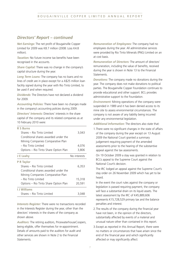## *Directors' Report – continued*

*Net Earnings:* The net profit of Bougainville Copper Limited for 2009 was K8.7 million (2008: Loss K4.8 million).

*Taxation:* No future income tax benefits have been recognised in the accounts.

*Share Capital:* There was no change in the company's capital structure during the year.

*Long Term Loans:* The company has no loans and no lines of credit are in place except for a A\$25 million loan facility signed during the year with Rio Tinto Limited, to be used if and when required.

*Dividends:* The Directors have not declared a dividend for 2009.

*Accounting Policies:* There have been no changes made in the company's accounting policies during 2009.

*Directors' Interests:* Directors' interests in the share capital of the company and its related companies as at 10 February 2010 were:

| <b>R S Burns</b>                      |              |
|---------------------------------------|--------------|
| Shares - Rio Tinto Limited            | 3,043        |
| Conditional shares awarded under the  |              |
| Mining Companies Comparative Plan     |              |
| – Rio Tinto Limited                   | 4,076        |
| Options – Rio Tinto Share Option Plan | 3,806        |
| J E Leahy                             | No interests |
| P R Taylor                            |              |
| Shares - Rio Tinto Limited            | 6,353        |
| Conditional shares awarded under the  |              |
| Mining Companies Comparative Plan     |              |
| - Rio Tinto Limited                   | 15,318       |
| Options – Rio Tinto Share Option Plan | 20,591       |
| <b>I J Williams</b>                   |              |
| Shares - Rio Tinto Limited            | 3.048        |

*Interests Register:* There were no transactions recorded in the Interests Register during the year, other than the directors' interests in the shares of the company as shown above.

*Auditors:* The retiring auditors, PricewaterhouseCoopers, being eligible, offer themselves for re-appointment. Details of amounts paid to the auditors for audit and other services are shown in Note 2 to the Financial **Statements** 

*Remuneration of Employees:* The company had no employees during the year. All administrative services were provided by Rio Tinto Minerals (PNG) Limited on an at cost basis.

*Remuneration of Directors:* The amount of directors' remuneration, including the value of benefits, received during the year is shown in Note 13 to the Financial Statements.

*Donations:* The company made no donations during the year. The company does not make donations to political parties. The Bougainville Copper Foundation continues to provide educational and other support. BCL provides administrative support to the Foundation.

*Environment:* Mining operations of the company were suspended in 1989 and it has been denied access to its mine site to assess environmental circumstances. The company is not aware of any liability being incurred under any environmental legislation.

*Additional Information:* The directors also state that:

1.There were no significant changes in the state of affairs of the company during the year except on 13 August 2009 the National Court granted a summary judgement requiring payment of the amended assessments prior to the hearing of the substantive appeal against the tax assessments.

On 19 October 2009 a stay was granted in relation to BCL's appeal to the Supreme Court against the National Court's decision.

The IRC lodged an appeal against the Supreme Court's stay order on 26 November 2009 which has yet to be heard.

In the event the court rules against the company or legislation is passed requiring payment, the company will face a substantial drain on its liquid assets. The latest assessment by the IRC of K45,889,606 represents K15,728,529 primary tax and the balance penalties and interest.

- 2.The results of the company during the financial year have not been, in the opinion of the directors, substantially affected by events of a material and unusual nature other than contained in this report.
- 3.Except as reported in this Annual Report, there were no matters or circumstances that have arisen since the end of the financial year and which significantly affected or may significantly affect: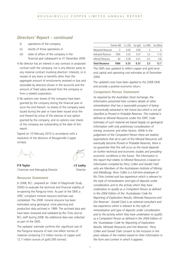## *Directors' Report – continued*

- (i) operations of the company
- (ii) results of those operations or
- (iii) state of affairs of the company in the financial year subsequent to 31 December 2009.
- 4.No director has an interest in any contract or proposed contract with the company, nor is any director party to any material contract involving directors' interests, or in receipt of any loans or benefits other than the aggregate amount of emoluments received or due and receivable by directors shown in the accounts and the amount of fixed salary derived from the company or from a related corporation.
- 5.No options over shares of the company have been granted by the company during the financial year or since the end thereof; no shares of the company were issued during the year or have been issued since the end thereof by virtue of the exercise of any option granted by the company; and no options over shares of the company are outstanding at the date of this report.

Signed on 10 February 2010 in accordance with a resolution of the directors of Bougainville Copper Limited.



**P R Taylor J E Leahy** Chairman and Managing Director Director

#### *Resource Statement*

In 2008, BCL prepared an Order of Magnitude Study (OMS) to evaluate the technical and financial viability of re-opening the Panguna mine. As part of the OMS a JORC compliant mineral resource estimate was completed. The 2008 mineral resource has been estimated using geological, mine planning and production data archived in 1989. The archived data sets have been reviewed and validated by Rio Tinto and ex BCL staff during 2008. No additional data was collected as part of the OMS.

The updated estimate confirms the significant size of the Panguna resource of over one billion tonnes of material containing 3.5 million tonnes of copper and 12.7 million ounces of gold (395 tonnes).

| <b>Total Resource</b> | 1064             | 0.33   | 0.37             | 35  | 17 7             |
|-----------------------|------------------|--------|------------------|-----|------------------|
| Inferred Resource     | 64               | 0.28   | 0.41             | 0.2 | 0.8              |
| Indicated Resource    | 1000             | 0.33   | 0.37             | 3.3 | 11.9             |
| Measured Resource     | $\left( \right)$ | 0.00   | 0.00             |     | $\left( \right)$ |
|                       | Tonnes (M)       | Cu (%) | Au (g/t) Cu (Mt) |     | Au (Moz)         |

The OMS was updated to reflect copper and gold price and capital and operating cost estimates as of December 2009.

The updated costs have been applied to the 2008 OMS and provide a positive economic return.

#### *Competent Person Statement*

*As required by the Australian Stock Exchange, the information presented here contains details of other mineralisation that has a reasonable prospect of being economically extracted in the future but which is not yet classified as Proved or Probable Reserves. This material is defined as Mineral Resources under the JORC Code. Estimates of such material are based largely on geological information with only preliminary consideration of mining, economic and other factors. While in the judgement of the Competent Person there are realistic expectations that all or part of the Mineral Resources will eventually become Proved or Probable Reserves, there is no guarantee that this will occur as the result depends on further technical and economic studies and prevailing economic conditions in the future. The information in this report that relates to Mineral Resources is based on information compiled by Perry Collier and Gerald Clark who are Members of the Australasian Institute of Mining and Metallurgy. Perry Collier is a full-time employee of Rio Tinto Limited and has experience which is relevant to the style of mineralisation and type of deposits under consideration and to the activity which they have undertaken to qualify as a Competent Person as defined in the 2004 Edition of the 'Australasian Code for Reporting of Exploration Results, Minerals Resources and Ore Reserves'. Gerald Clark is an external consultant and has experience which is relevant to the style of mineralisation and type of deposits under consideration and to the activity which they have undertaken to qualify as a Competent Person as defined in the 2004 Edition of the 'Australasian Code for Reporting of Exploration Results, Minerals Resources and Ore Reserves'. Perry Collier and Gerald Clark consent to the inclusion in the press release of the matters based on their information in the form and context in which it appears.*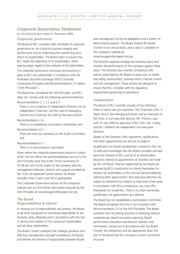## *Corporate Governance Statement*

For the financial year ended 31 December 2009

#### *Corporate governance*

The Board of BCL considers high standards of corporate governance to be critical to business integrity and performance and to maximising the overall long term return to shareholders. The Board seeks to ensure that BCL meets the objectives of its shareholders, while paying proper regard to the interests of all stakeholders. The corporate governance structures and practices in place at BCL are substantially in compliance with the

Australian Securities Exchange (ASX) Corporate Governance Principles and Recommendations 2nd edition ("ASX Principles").

The Board has considered the ASX Principles, and BCL does not comply with the following recommendations:

Recommendations 2.1, 2.2 and 2.3 –

There is not a majority of independent Directors nor an independent Chairman, and the roles of Managing Director and Chairman are held by the same person;

Recommendation 2.4 –

There is no established nominations committee; and Recommendation 4.2 –

There are only two members on the Audit Committee; and

Recommendation 8.1 –

There is no remuneration committee.

Areas where the corporate governance practices in place at BCL do not follow the recommendations set out in the ASX Principles arise due to Rio Tinto's ownership of 53.58 per cent of the shares of the company and the management direction, services and support provided by Rio Tinto. As explained further below, the Board considers that in each case this is appropriate.

The Corporate Governance section of the company's website sets out the further information required by the ASX Principles at www.bougainvillecopper.com.pg

## *The Board Responsibilities & Charter*

In carrying out its responsibilities and powers, the Board at all times recognises its overriding responsibility to act honestly, fairly, diligently and in accordance with the law in serving the interests of the company's shareholders and all other stakeholders.

The Board Charter underpins the strategic guidance and effective management oversight provided by the Board, and defines the division of responsibility between Board

and management by formal delegation and a system of Board reserve powers. The Board reviews the Board Charter on an annual basis, and a copy is available on the company's website at: www.bougainvillecopper.com.pg

The Directors approve strategy and business plans and monitor the performance of the company against these plans. The Directors also monitor compliance with policies prescribed by the Board in areas such as health and safety, environment, business ethics, internal control and risk management. These policies are designed to ensure that BCL complies with the regulatory requirements governing its operations.

#### *Composition*

The Board of BCL currently consists of four directors, three of whom are non-executive. The Chairman is Mr. P Taylor who is also Managing Director and an executive of Rio Tinto. A non-executive director, Mr. R Burns, was until 31 July 2009 an executive of Rio Tinto. Mr. J Leahy and Mr. I Williams are independent non-executive directors.

Details of the Directors, their experience, qualifications and other appointments are set out on page 6.

Qualification for Board membership is related to the mix of skills and knowledge that the Board considers will best serve the interests of BCL and all of its shareholders. Decisions relating to appointment of Directors are made by the full Board. Directors appointed by the Board are required by BCL's constitution to submit themselves for election by shareholders at the Annual General Meeting following their appointment. Non-executive directors are subject to retirement by rotation at least every three years in accordance with BCL's constitution, but may offer themselves for re-election. There is no share ownership qualification for appointment as a director.

The Board has not established a nominations committee. The Board recognises that this is not compliant with Recommendation 2.4 of the ASX Principles. The Board considers that its existing practices in reviewing director competencies, Board succession planning, Board performance evaluation and director selection and nomination, carried out in accordance with the Board Charter, are satisfactory and are appropriate given the size of the Board and the company's current ownership structure.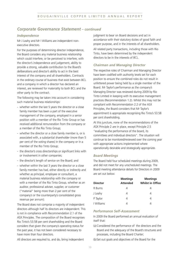#### *Independence*

Mr J Leahy and Mr I Williams are independent nonexecutive directors.

For the purposes of determining director independence, the Board considers any material business relationship which could interfere, or be perceived to interfere, with the director's independence and judgement, ability to provide a strong, valuable contribution to the Board's deliberations and director's ability to act in the best interest of the company and all shareholders. Contracts in the ordinary course of business that exist between BCL and a company in which a director has declared an interest, are reviewed for materiality to both BCL and the other party to the contract.

The following may be taken into account in considering such material business relationships:

- whether within the last 5 years the director or a close family member has been a part of the executive management of the company, employed in a senior position with a member of the Rio Tinto Group or has received additional remuneration from the company or a member of the Rio Tinto Group;
- whether the director or a close family member is, or is associated with, a substantial shareholder (more than 5 per cent of the voting shares) in the company or in a member of the Rio Tinto Group;
- the director's cross directorships or significant links with or involvement in other companies;
- the director's length of service on the Board; and
- whether within the last 3 years the director or a close family member has had, either directly or indirectly and whether as principal, employee or consultant, a material business relationship with the company or with a member of the Rio Tinto Group, whether as an auditor, professional adviser, supplier, or customer ("material" being more than 2 per cent of the company's or the counterparty's consolidated gross revenue per annum).

The Board does not comprise a majority of independent directors although half its directors are independent. This is not in compliance with Recommendation 2.1 of the ASX Principles. The composition of the Board recognises Rio Tinto's 53.58 per cent shareholding and the Board considers that given the company's operating status for the past year, it has not been considered necessary to have more than four directors.

All directors are required to, and do, bring independent

judgment to bear on Board decisions and act in accordance with their statutory duties of good faith and proper purpose, and in the interests of all shareholders.

All related party transactions, including those with Rio Tinto, have been determined by the independent directors to be in the interests of BCL.

#### *Chairman and Managing Director*

The respective roles of Chairman and Managing Director have been codified with authority levels set for each position to ensure the combined roles do not result in unfettered power being held by a single member of the Board. Mr Taylor's performance as the company's Managing Director was reviewed during 2009 by Rio Tinto Limited in keeping with its executive management practices (Recommendation 1.2). Whilst this may not be compliant with Recommendation 2.2 of the ASX Principles, the Board considers that Mr Taylor's appointment is appropriate recognising Rio Tinto's 53.58 per cent shareholding.

At this juncture, none of the recommendations of the ASX Principle 2 are in place, except Principle 2.5 "evaluating the performance of the board, its committees and individual directors". The situation will continue to be monitored/reviewed over the coming year with appropriate actions implemented where operationally desirable and strategically appropriate.

#### *Board Meetings*

The Board held four scheduled meetings during 2009, and did not meet for any unscheduled meetings. The Board meeting attendance details for Directors in 2009 are set out below.

|                 | <b>Meetings</b> | <b>Meetings</b>         |
|-----------------|-----------------|-------------------------|
| <b>Director</b> | <b>Attended</b> | <b>Whilst in Office</b> |
| R Burns         |                 | 4                       |
| J Leahy         | 4               | 4                       |
| P Taylor        | 4               | 4                       |
| I Williams      |                 |                         |

#### *Performance Self-Assessment*

In 2009 the Board performed an annual evaluation of itself that:

- (a)Considered the performance of the directors and the Board and the adequacy of the Board's structures and processes, including the Board Charter;
- (b)Set out goals and objectives of the Board for the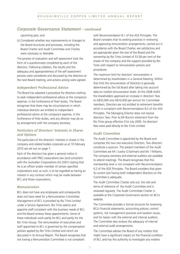#### upcoming year; and

(c) Considered whether any improvements or changes to the Board structures and processes, including the Board Charter and Audit Committee and Charter, were necessary or desirable.

The process of evaluation and self assessment took the form of a questionnaire completed by each of the directors. Following collation, the results and the adequacy and appropriateness of the self assessment process were considered and discussed by the directors at the next Board meeting, and actions arising were agreed.

### *Independent Professional Advice*

The Board has adopted a procedure for directors wishing to seek independent professional advice at the company's expense, in the furtherance of their duties. The Board recognises that there may be circumstances in which individual directors are entitled to independent professional advice at the company's expense, in the furtherance of their duties, and any director may do so by arrangement with the company secretary.

## *Particulars of Directors' Interests in Shares and Options*

The particulars of the directors' interests in shares in the company and related bodies corporate as at 10 February 2010 are set out on page 7.

Each of the directors has given a general notice in accordance with PNG corporations law (and consistent with the Australian Corporations Act 2001) stating that he is an officer and/or member of certain specified corporations and, as such, is to be regarded as having an interest in any contract which may be made between BCL and those corporations.

#### *Remuneration*

BCL does not have any employees and consequently does not have need for a Remuneration Committee. Management of BCL is provided by Rio Tinto Limited under a Service Agreement. Rio Tinto selects and appoints staff consistent with the business needs of BCL and the Board reviews these appointments. Some of these individuals work partly for BCL and partly for the Rio Tinto Group. The remuneration of executives and staff appointed to BCL is governed by the compensation policies applied by Rio Tinto Limited and which are discussed in its Annual Report. The Board recognises that not having a Remuneration Committee is not compliant

with Recommendation 8.1 of the ASX Principles. The Board considers that its existing practices in reviewing and approving remuneration arrangements, carried out in accordance with the Board Charter, are satisfactory and are appropriate given the size of the Board and the ownership by Rio Tinto Limited of 53.58 per cent of the shares of the company and the support provided by Rio Tinto with respect to remuneration policies and procedures.

The maximum limit for directors' remuneration is determined by shareholders in a General Meeting. Within that limit the remuneration of Directors is generally determined by the full Board after taking into account data on market remuneration levels. At the 2008 AGM, the shareholders approved an increase in directors' fees to A\$55,000 and A\$10,000 per annum for Committee members. Directors are not entitled to retirement benefits which is compliant with Recommendation 8.2 of the ASX Principles. The Managing Director does not receive directors' fees. Prior to Mr Burns's retirement from the Rio Tinto group effective 31st July 2009, his directors' fees were paid directly to Rio Tinto Limited.

#### *Audit Committee*

The Audit Committee is appointed by the Board and comprises the two non-executive Directors. Two directors constitute a quorum. The present members of the Audit Committee are Mr J Leahy (Chairman) and Mr. I Williams. The company secretary and external auditors are available to attend meetings. The Board recognises that this membership level is not compliant with Recommendation 4.2 of the ASX Principles. The Board considers that given its current size having both independent directors on the Committee is adequate.

The Audit Committee Charter sets out the role and terms of reference of the Audit Committee and is reviewed regularly. The Audit Committee Charter is available at the Corporate Governance section on BCL's website.

The Committee provides a formal structure for reviewing BCL's financial statements, accounting policies, control systems, risk management practices and taxation issues, and for liaison with the external and internal auditors. The Committee also reviews the adequacy of internal and external audit arrangements.

The Committee advises the Board of any matters that might have a significant impact on the financial condition of BCL and has the authority to investigate any matters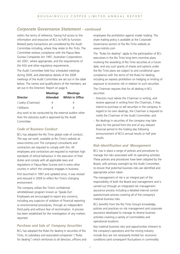within the terms of reference, having full access to the information and resources of BCL to fulfil its function. Related party transactions are considered by the Audit Committee including, where they relate to Rio Tinto. The Committee reviews compliance with the Papua New Guinea Companies Act 1997, Australian Corporations Act 2001, where appropriate, and the requirements of the ASX and other regulatory requirements.

The Audit Committee held four scheduled meetings during 2009, and attendance details of the 2009 meetings of the Audit Committee are set out in the table below. The names and qualifications of the members, are set out in the Directors' Report on page 6.

|                    | <b>Meetings</b> |                         |
|--------------------|-----------------|-------------------------|
| <b>Director</b>    | <b>Attended</b> | <b>Whilst in Office</b> |
| J Leahy (Chairman) |                 |                         |
| I Williams         |                 |                         |

Any work to be conducted by the external auditor other than the statutory audit is approved by the Audit Committee.

## *Code of Business Conduct*

BCL has adopted the Rio Tinto global code of conduct, *The way we work*, available at Rio Tinto's website at: www.riotinto.com The company's consultants and contractors are required to comply with this. All employees and contractors are required to maintain high standards of ethical behaviour in the execution of their duties and comply with all applicable laws and regulations in Papua New Guinea and in every other country in which the company engages in business. First launched in 1997 and updated since, it was revised and reissued in 2009 to reflect Rio Tinto's changing environment.

The company utilises Rio Tinto's confidential whistleblower program known as 'Speak-Out'. Employees are encouraged to report any concerns, including any suspicion of violation of financial reporting or environmental procedures, through an independent third party and without fear of recrimination. A process has been established for the investigation of any matters reported.

## *Purchase and Sale of Company Securities*

BCL has adopted the Rules for dealing in securities of Rio Tinto, its subsidiary and associated companies' ("Rules for dealing") which reinforces to all directors, officers and employees the prohibition against insider trading. The share trading policy is available at the Corporate Governance section of the Rio Tinto website at: www.riotinto.com

The "Rules for dealing" apply to the participation of BCL executives in the Rio Tinto long term incentive plans involving the awarding of Rio Tinto securities at a future date, and any such grants of shares and options under the Rio Tinto plans are subject to and conditional upon compliance with the terms of the Rules for dealing, including an express prohibition on hedging or limiting of exposure to economic risk in relation to such securities.

The Chairman requires that for all dealing in BCL securities:

- Directors must advise the Chairman in writing, and receive approval in writing from the Chairman, if they intend to purchase or sell securities in the company. In regard to his own dealings, the Chairman is required to notify the Chairman of the Audit Committee; and
- No dealings in securities of the company may take place for the period from the end of any relevant financial period to the trading day following announcement of BCL's annual results or half year results.

#### *Risk Identification and Management*

BCL has in place a range of policies and procedures to manage the risks associated with its operating activities. These policies and procedures have been adopted by the Board, with primary oversight by the Audit Committee, to ensure that potential business risks are identified and appropriate action taken.

The management of risk is an integral part of the responsibility of both the Board and management and is carried out through an integrated risk management assurance process including a detailed internal control questionnaire process covering all of the company's material business risks.

BCL benefits from the Rio Tinto Group's knowledge, policies and practices on risk management and corporate assurance developed to manage its diverse business activities covering a variety of commodities and operational locations.

Key material business risks and opportunities inherent to the company's operations and the mining industry include (but are not necessarily limited to): economic conditions (and consequent fluctuations in commodity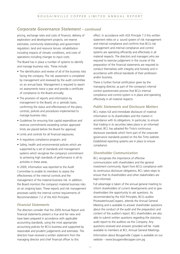pricing, exchange rates and costs of finance); delivery of exploration and development projects; ore reserve estimates; community relationships and government regulation; land and resource tenure; rehabilitation including impacts of climatic conditions, and costs of operations including changes to input costs.

The Board has in place a number of systems to identify and manage business risks. These include:

- The identification and review of all of the business risks facing the company. The risk assessment is completed by management and reviewed by the audit committee on an annual basis. Management is required to report on assessments twice a year and provide a certificate of compliance to the Board annually;
- The provision of reports and information by management to the Board, on a periodic basis, confirming the status and effectiveness of the plans, controls, policies and procedures implemented to manage business risks;
- Guidelines for ensuring that capital expenditure and revenue commitments exceeding certain approved limits are placed before the Board for approval;
- Limits and controls for all financial exposures;
- A regulatory compliance program; and
- Safety, health and environmental policies which are supported by a set of standards and management systems which recognise the company's commitment to achieving high standards of performance in all its activities in these areas.

In 2009, information was reported to the Audit Committee to enable its members to assess the effectiveness of the internal controls and the management of the material business risk. In addition, the Board monitors the company's material business risks on an ongoing basis. These reports and risk management processes satisfy the internal control requirements of Recommendation 7.2 of the ASX Principles.

#### *Financial Statements*

The directors consider that the 2009 Annual Report and financial statements present a true and fair view and have been prepared in accordance with applicable accounting standards, using the most appropriate accounting policies for BCL's business and supported by reasonable and prudent judgements and estimates. The directors have received a written statement from the managing director and chief financial officer to this

effect. In accordance with ASX Principle 7.3 this written statement relies on a sound system of risk management and internal compliance and confirms that BCL's risk management and internal compliance and control systems are operating efficiently and effectively in all material respects. The directors and managers who are required to exercise judgement in the course of the preparation of the financial statements are required to conduct themselves with integrity and honesty and in accordance with ethical standards of their profession and/or business.

There is further formal certification given by the managing director, as part of the company's internal control questionnaire process that BCL's internal compliance and control system is in place and operating effectively in all material respects.

#### *Public Statements and Disclosure Matters*

BCL makes full and immediate disclosure of material information to its shareholders and the market in accordance with its obligations. In particular, to ensure that trading in its securities takes place in an informed market, BCL has adopted Rio Tinto's continuous disclosure standards which form part of the corporate governance standards posted on the Rio Tinto website. Established reporting systems are in place to ensure compliance.

#### *Shareholder Communication*

BCL recognises the importance of effective communication with shareholders and the general investment community. Apart from BCL's compliance with its continuous disclosure obligations, BCL takes steps to ensure that its shareholders and other stakeholders are kept informed.

Full advantage is taken of the annual general meeting to inform shareholders of current developments and to give shareholders the opportunity to ask questions. As recommended by the ASX Principles, BCL's auditor PricewaterhouseCoopers, attends the Annual General Meeting and is available to answer shareholder questions about the conduct of the audit and the preparation and content of the auditor's report. BCL shareholders are also able to submit written questions regarding the statutory audit report to the auditors via the Company. Any questions received and answers provided will be made available to members at BCL Annual General Meetings. Information about Bougainville Copper is available on our website – www.bougainvillecopper.com.pg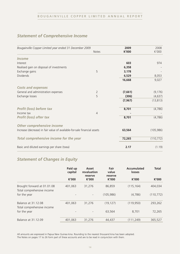# *Statement of Comprehensive Income*

| Bougainville Copper Limited year ended 31 December 2009                  |                | 2009     | 2008       |
|--------------------------------------------------------------------------|----------------|----------|------------|
|                                                                          | <b>Notes</b>   | K'000    | K'000      |
| <b>Income</b>                                                            |                |          |            |
| Interest                                                                 |                | 603      | 974        |
| Realised gain on disposal of investments                                 |                | 6,358    |            |
| Exchange gains                                                           | 5              | 3,178    |            |
| <b>Dividends</b>                                                         |                | 6,529    | 8,053      |
|                                                                          |                | 16,668   | 9,027      |
| <b>Costs and expenses</b>                                                |                |          |            |
| General and administration expenses                                      | $\overline{2}$ | (7,661)  | (9, 176)   |
| Exchange losses                                                          | 5              | (306)    | (4,637)    |
|                                                                          |                | (7, 967) | (13, 813)  |
| Profit (loss) before tax                                                 |                | 8,701    | (4,786)    |
| Income tax                                                               | $\overline{4}$ |          |            |
| <b>Profit (loss) after tax</b>                                           |                | 8,701    | (4,786)    |
| <b>Other comprehensive income</b>                                        |                |          |            |
| Increase (decrease) in fair value of available-for-sale financial assets |                | 63,564   | (105, 986) |
| Total comprehensive income for the year                                  |                | 72,265   | (110, 772) |
|                                                                          |                |          |            |
| Basic and diluted earnings per share (toea)                              |                | 2.17     | (1.19)     |

# *Statement of Changes in Equity*

|                                                           | Paid up<br>capital | Asset<br>revaluation<br>reserve | Fair<br>value<br>reserve | Accumulated<br>losses | <b>Total</b> |
|-----------------------------------------------------------|--------------------|---------------------------------|--------------------------|-----------------------|--------------|
|                                                           | K'000              | K'000                           | K'000                    | K'000                 | K'000        |
| Brought forward at 01.01.08<br>Total comprehensive income | 401,063            | 31,276                          | 86,859                   | (115, 164)            | 404,034      |
| for the year                                              |                    |                                 | (105, 986)               | (4,786)               | (110, 772)   |
| Balance at 31.12.08<br>Total comprehensive income         | 401,063            | 31,276                          | (19, 127)                | (119,950)             | 293,262      |
| for the year                                              |                    |                                 | 63,564                   | 8,701                 | 72,265       |
| Balance at 31.12.09                                       | 401,063            | 31,276                          | 44,437                   | (111, 249)            | 365,527      |

All amounts are expressed in Papua New Guinea kina. Rounding to the nearest thousand kina has been adopted. The Notes on pages 17 to 26 form part of these accounts and are to be read in conjunction with them.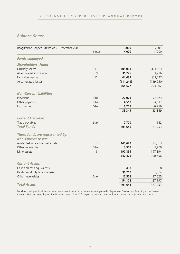# *Balance Sheet*

| Bougainville Copper Limited at 31 December 2009              |       | 2009       | 2008      |
|--------------------------------------------------------------|-------|------------|-----------|
|                                                              | Notes | K'000      | K'000     |
| <b>Funds employed:</b>                                       |       |            |           |
| <b>Shareholders' Funds</b>                                   |       |            |           |
| Ordinary shares                                              | 11    | 401,063    | 401,063   |
| Asset revaluation reserve                                    | 9     | 31,276     | 31,276    |
| Fair value reserve                                           | 12    | 44,437     | (19, 127) |
| <b>Accumulated losses</b>                                    |       | (111, 249) | (119,950) |
|                                                              |       | 365,527    | 293,262   |
| <b>Non-Current Liabilities</b>                               |       |            |           |
| Provisions                                                   | 6(b)  | 22,073     | 22,073    |
| Other payables                                               | 6(b)  | 4,517      | 4,517     |
| Income tax                                                   | 4(b)  | 6,759      | 6,759     |
|                                                              |       | 33,349     | 33,349    |
| <b>Current Liabilities</b>                                   |       |            |           |
| Trade payables                                               | 6(a)  | 2,770      | 1,142     |
| <b>Total Funds</b>                                           |       | 401,646    | 327,753   |
| These funds are represented by:<br><b>Non-Current Assets</b> |       |            |           |
| Available-for-sale financial assets                          | 3     | 145,672    | 98,753    |
| Other receivables                                            | 10(b) | 3,909      | 3,909     |
| Mine assets                                                  | 8     | 197,894    | 197,894   |
|                                                              |       | 347,475    | 300,556   |
| <b>Current Assets</b>                                        |       |            |           |
| Cash and cash equivalents                                    |       | 438        | 968       |
| Held-to-maturity financial assets                            | 7     | 36,210     | 8,704     |
| Other receivables                                            | 10(a) | 17,523     | 17,525    |
|                                                              |       | 54,171     | 27,197    |
| <b>Total Assets</b>                                          |       | 401,646    | 327,753   |

Details of contingent liabilities and assets are shown in Note 14. All amounts are expressed in Papua New Guinea kina. Rounding to the nearest thousand kina has been adopted. The Notes on pages 17 to 26 form part of these accounts and are to be read in conjunction with them.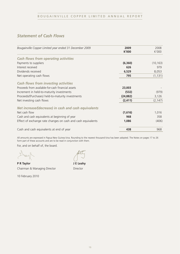# *Statement of Cash Flows*

| Bougainville Copper Limited year ended 31 December 2009      | 2009<br>K'000 | 2008<br>K'000 |
|--------------------------------------------------------------|---------------|---------------|
| <b>Cash flows from operating activities</b>                  |               |               |
| Payments to suppliers                                        | (6, 360)      | (10, 163)     |
| Interest received                                            | 626           | 979           |
| Dividends received                                           | 6,529         | 8,053         |
| Net operating cash flows                                     | 795           | (1, 131)      |
| <b>Cash flows from investing activities</b>                  |               |               |
| Proceeds from available-for-cash financial assets            | 23,003        |               |
| Increment in held-to-maturity investments                    | (532)         | (979)         |
| Proceeds/(Purchases) held-to-maturity investments            | (24, 882)     | 3,126         |
| Net investing cash flows                                     | (2, 411)      | (2, 147)      |
| Net increase/(decrease) in cash and cash equivalents         |               |               |
| Net cash flow                                                | (1,616)       | 1,016         |
| Cash and cash equivalents at beginning of year               | 968           | 358           |
| Effect of exchange rate changes on cash and cash equivalents | 1,086         | (406)         |
| Cash and cash equivalents at end of year                     | 438           | 968           |

All amounts are expressed in Papua New Guinea kina. Rounding to the nearest thousand kina has been adopted. The Notes on pages 17 to 26 form part of these accounts and are to be read in conjunction with them.

For, and on behalf of, the board.

 $\approx$ 

**P R Taylor J E Leahy** Chairman & Managing Director Director

10 February 2010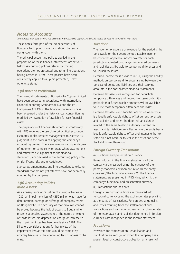## *Notes to Accounts*

*These notes form part of the 2009 accounts of Bougainville Copper Limited and should be read in conjunction with them.*

These notes form part of the 2009 accounts of Bougainville Copper Limited and should be read in conjunction with them.

The principal accounting policies applied in the preparation of these financial statements are set out below. Accounting policies relevant to mining operations are not presented due to mining operations having ceased in 1989. These policies have been consistently applied to all years presented, unless otherwise stated.

## *1.(a) Basis of Preparation*

The financial statements of Bougainville Copper Limited have been prepared in accordance with International Financial Reporting Standards (IFRS) and the PNG Companies Act 1997. The financial statements have been prepared under the historical cost convention, as modified by revaluation of available-for-sale financial assets.

The preparation of financial statements in conformity with IFRS requires the use of certain critical accounting estimates. It also requires management to exercise its judgment in the process of applying the company's accounting policies. The areas involving a higher degree of judgment or complexity, or areas where assumptions and estimates are significant to the financial statements, are disclosed in the accounting policy note on significant risks and uncertainties.

Standards, amendments and interpretations to existing standards that are not yet effective have not been early adopted by the company.

#### *1.(b) Accounting Policies Mine Assets:*

As a consequence of cessation of mining activities in 1989, an impairment loss of K350 million was made for deterioration, damage or pilferage of company assets on Bougainville. The accuracy of that provision cannot be proved because the lack of access to Bougainville prevents a detailed assessment of the nature or extent of those losses. No depreciation charge or increase to the impairment loss has been made since 1991. The Directors consider that any further review of the impairment loss at this time would be completely arbitrary because of the continuing lack of access to the mine.

#### *Taxation:*

The income tax expense or revenue for the period is the tax payable on the current period's taxable income based on the applicable income tax rate for each jurisdiction adjusted by changes in deferred tax assets and liabilities attributable to temporary differences and to unused tax losses.

Deferred income tax is provided in full, using the liability method, on temporary differences arising between the tax base of assets and liabilities and their carrying amounts in the consolidated financial statements.

Deferred tax assets are recognised for deductible temporary differences and unused tax losses only if it is probable that future taxable amounts will be available to utilise those temporary differences and losses.

Deferred tax assets and liabilities are offset when there is a legally enforceable right to offset current tax assets and liabilities and when the deferred tax balances related to the same taxation authority. Current tax assets and tax liabilities are offset where the entity has a legally enforceable right to offset and intends either to settle on a net basis, or to realise the asset and settle the liability simultaneously.

## *Foreign Currency Translation:*

(i) Functional and presentation currency

Items included in the financial statements of the company are measured using the currency of the primary economic environment in which the entity operates ("the functional currency"). The financial statements are presented in PNG Kina, which is the company's functional and presentation currency.

(ii) Transactions and balances

Foreign currency transactions are translated into functional currency using the exchange rates prevailing at the dates of transactions. Foreign exchange gains and losses resulting from the settlement of such transactions and translation at year end exchange rates of monetary assets and liabilities determined in foreign currencies are recognised in the income statement.

#### *Provisions:*

Provisions for compensation, rehabilitation and stabilisation are recognised when the company has a present legal or constructive obligation as a result of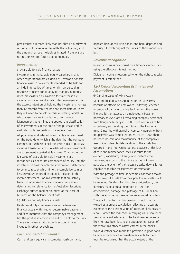past events; it is more likely than not that an outflow of resources will be required to settle the obligation; and the amount has been reliably estimated. Provisions are not recognised for future operating losses.

#### *Investments:*

#### (i) Available-for-sale financial assets

Investments in marketable equity securities (shares in other corporations) are classified as "available-for-sale financial assets". Investments intended to be held for an indefinite period of time, which may be sold in response to needs for liquidity or changes in interest rates, are classified as available-for-sale; these are included in non-current assets unless management has the express intention of holding the investments for less than 12 months from the balance sheet date or unless they will need to be sold to raise operating capital, in which case they are included in current assets. Management determines the appropriate classification of its investments at the time of the purchase and reevaluates such designation on a regular basis.

All purchases and sales of investments are recognised on the trade date, which is the date that the company commits to purchase or sell the asset. Cost of purchase includes transaction costs. Available-for-sale investments are subsequently carried at fair value. Changes in the fair value of available-for-sale investments are recognised as a separate component of equity until the investment is sold, or until the investment is determined to be impaired, at which time the cumulative gain or loss previously reported in equity is included in the income statement. For investments that are actively traded in organised financial markets, fair value is determined by reference to the Australian Securities Exchange quoted market bid prices at the close of business on the balance sheet date.

#### (ii) Held-to-maturity financial assets

Held-to-maturity investments are non-derivative financial assets with fixed or determinable payments and fixed maturities that the company's management has the positive intention and ability to hold to maturity. These are measured at cost with accrued interest included in other receivables.

#### *Cash and Cash Equivalents:*

Cash and cash equivalents comprises cash on hand,

deposits held at call with banks, and bank deposits and treasury bills with original maturities of three months or less.

#### *Revenue Recognition:*

Interest income is recognised on a time-proportion basis using the effective interest method.

Dividend income is recognised when the right to receive payment is established.

## *1.(c) Critical Accounting Estimates and Assumptions*

#### (i) Carrying Value of Mine Assets

Mine production was suspended on 15 May 1989 because of attacks on employees. Following repeated instances of damage to mine facilities and the power line and further attacks on employees, it became necessary to evacuate all remaining company personnel from Bougainville early in 1990. There continues to be uncertainty surrounding the future of the Panguna mine. Since the withdrawal of company personnel from Bougainville was completed on 24 March 1990, there has been no care and maintenance of the company's assets. Considerable deterioration of the assets has occurred in the intervening period, because of this lack of care and maintenance, their exposure to the elements, vandalism, pilferage and militant action. However, as access to the mine site has not been possible, the extent of the necessary write-downs is not capable of reliable measurement or estimation.

With the passage of time, it became clear that a major write-down of assets from their pre-closure levels would be required. To allow for this future write-down, the directors made a impairment loss in 1991 for deterioration, damage and pilferage of K350 million, with this sum being classified as an extraordinary item.

The exact quantum of this provision should not be viewed as a precise calculation reflecting an accurate estimate of the present value of losses or likely costs of repair. Rather, the reduction in carrying value should be seen as a broad estimate of the total service potential likely to have been lost to the operation in respect of the whole inventory of assets carried in the books.

While directors have made this provision in good faith based on the limited information available to them, it must be recognised that the actual extent of the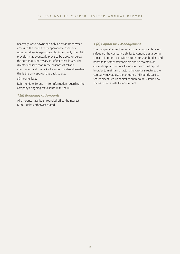necessary write-downs can only be established when access to the mine site by appropriate company representatives is again possible. Accordingly, the 1991 provision may eventually prove to be above or below the sum that is necessary to reflect these losses. The directors believe that in the absence of reliable information and the lack of a more suitable alternative, this is the only appropriate basis to use.

#### (ii) Income Taxes

Refer to Note 10 and 14 for information regarding the company's ongoing tax dispute with the IRC.

### *1.(d) Rounding of Amounts*

All amounts have been rounded off to the nearest K'000, unless otherwise stated.

### *1.(e) Capital Risk Management*

The company's objectives when managing capital are to safeguard the company's ability to continue as a going concern in order to provide returns for shareholders and benefits for other stakeholders and to maintain an optimal capital structure to reduce the cost of capital. In order to maintain or adjust the capital structure, the company may adjust the amount of dividends paid to shareholders, return capital to shareholders, issue new shares or sell assets to reduce debt.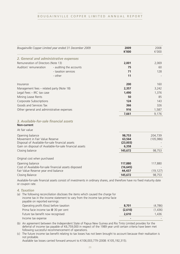| Bougainville Copper Limited year ended 31 December 2009                                                                                                                                                                                                                                                                      | 2009<br>K'000                         | 2008<br>K'000         |
|------------------------------------------------------------------------------------------------------------------------------------------------------------------------------------------------------------------------------------------------------------------------------------------------------------------------------|---------------------------------------|-----------------------|
| 2. General and administrative expenses                                                                                                                                                                                                                                                                                       |                                       |                       |
| Remuneration of Directors (Note 13)                                                                                                                                                                                                                                                                                          | 2,001                                 | 2,069                 |
| Auditors' remuneration<br>- auditing the accounts                                                                                                                                                                                                                                                                            | 75                                    | 60                    |
| - taxation services                                                                                                                                                                                                                                                                                                          | 71                                    | 128                   |
| - other                                                                                                                                                                                                                                                                                                                      | 11                                    |                       |
| Insurance                                                                                                                                                                                                                                                                                                                    | 200                                   | 160                   |
| Management fees - related party (Note 18)                                                                                                                                                                                                                                                                                    | 2,357                                 | 3,242                 |
| Legal Fees - IRC tax case                                                                                                                                                                                                                                                                                                    | 1,490                                 | 1,376                 |
| Mining Lease Rents                                                                                                                                                                                                                                                                                                           | 50                                    | 85                    |
| Corporate Subscriptions                                                                                                                                                                                                                                                                                                      | 124                                   | 143                   |
| Goods and Services Tax                                                                                                                                                                                                                                                                                                       | 366                                   | 326                   |
| Other general and administrative expenses                                                                                                                                                                                                                                                                                    | 916                                   | 1,587                 |
|                                                                                                                                                                                                                                                                                                                              | 7,661                                 | 9,176                 |
| 3. Available-for-sale financial assets<br><b>Non-current</b>                                                                                                                                                                                                                                                                 |                                       |                       |
| At fair value                                                                                                                                                                                                                                                                                                                |                                       |                       |
| Opening balance<br>Movement in Fair Value Reserve<br>Disposal of Available-for-sale financial assets<br>Gain on disposal of Available-for-sale financial assets                                                                                                                                                              | 98,753<br>63,564<br>(23,003)<br>6,358 | 204,739<br>(105, 986) |
| Closing balance                                                                                                                                                                                                                                                                                                              | 145,672                               | 98,753                |
| Original cost when purchased<br>Opening balance<br>Cost of Available-for-sale financial assets disposed<br>Fair Value Reserve year end balance                                                                                                                                                                               | 117,880<br>(16, 645)<br>44,437        | 117,880<br>(19, 127)  |
| Closing Balance                                                                                                                                                                                                                                                                                                              | 145,672                               | 98,753                |
| Available-for-sale financial assets consist of investments in ordinary shares, and therefore have no fixed maturity date<br>or coupon rate.<br>4. Taxation<br>(a) The following reconciliation discloses the items which caused the charge for<br>income tax in the income statement to vary from the income tax prima facie |                                       |                       |
| payable on reported earnings:<br>Operating profit /(loss) before taxation                                                                                                                                                                                                                                                    | 8,701                                 | (4,786)               |
| Prima facie income tax @ 30 per cent                                                                                                                                                                                                                                                                                         | (2,610)                               | (1,436)               |
| Future tax benefit now recognised                                                                                                                                                                                                                                                                                            | 2,610                                 | 1,436                 |
| Income tax expense                                                                                                                                                                                                                                                                                                           |                                       |                       |

(b) An agreement between the Independent State of Papua New Guinea and Rio Tinto Limited provides for the deferral of income tax payable of K6,759,000 in respect of the 1989 year until certain criteria have been met following successful recommencement of operations.

(c) The future income tax benefit relating to tax losses has not been brought to account because their realisation is not probable.

Available tax losses carried forward amount to K106,003,779 (2008: K105,192,315).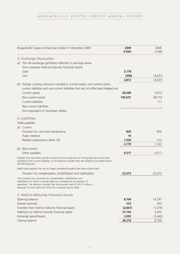## BOUGAINVILLE COPPER LIMITED ANNUAL REPORT

|     | Bougainville Copper Limited year ended 31 December 2009                                                                                                                                                                                                                                           | 2009<br>K'000 | 2008<br>K'000 |
|-----|---------------------------------------------------------------------------------------------------------------------------------------------------------------------------------------------------------------------------------------------------------------------------------------------------|---------------|---------------|
|     | <b>5. Exchange Fluctuation</b>                                                                                                                                                                                                                                                                    |               |               |
|     | (a) The net exchange gain/(loss) reflected in earnings arose                                                                                                                                                                                                                                      |               |               |
|     | from overseas held-to-maturity financial assets:                                                                                                                                                                                                                                                  |               |               |
|     | Gain                                                                                                                                                                                                                                                                                              | 3,178         |               |
|     | Loss                                                                                                                                                                                                                                                                                              | (306)         | (4,637)       |
|     |                                                                                                                                                                                                                                                                                                   | 2,872         | (4,637)       |
| (b) | Foreign currency amounts included in current assets, non-current assets,                                                                                                                                                                                                                          |               |               |
|     | current liabilities and non-current liabilities that are not effectively hedged are:                                                                                                                                                                                                              |               |               |
|     | Current assets                                                                                                                                                                                                                                                                                    | 36,648        | 9,672         |
|     | Non-current assets                                                                                                                                                                                                                                                                                | 145,675       | 98,753        |
|     | Current liabilities                                                                                                                                                                                                                                                                               |               | 111           |
|     | Non-current liabilities                                                                                                                                                                                                                                                                           |               |               |
|     | Kina equivalent of Australian dollars                                                                                                                                                                                                                                                             |               |               |
|     | <b>6. Liabilities</b>                                                                                                                                                                                                                                                                             |               |               |
|     | Trade payables                                                                                                                                                                                                                                                                                    |               |               |
|     | (a) Current                                                                                                                                                                                                                                                                                       |               |               |
|     | Provision for care and maintenance                                                                                                                                                                                                                                                                | 830           | 830           |
|     | Trade creditors                                                                                                                                                                                                                                                                                   | 10            |               |
|     | Related corporations (Note 18)                                                                                                                                                                                                                                                                    | 1,930         | 312           |
|     |                                                                                                                                                                                                                                                                                                   | 2,770         | 1,142         |
|     | (b) Non-current                                                                                                                                                                                                                                                                                   |               |               |
|     | Other payables                                                                                                                                                                                                                                                                                    | 4,517         | 4,517         |
|     | Payables that have been carried forward since the suspension of mining operations have been<br>classified as non-current liabilities, as the directors consider they are unlikely to be settled within<br>the following year.                                                                     |               |               |
|     | Aged trade payables that are no longer considered payable have been written back.                                                                                                                                                                                                                 |               |               |
|     | Provision for compensation, rehabilitation and stabilisation                                                                                                                                                                                                                                      | 22,073        | 22,073        |
|     | The company has a provision for compensation, rehabilitation and<br>stabilisation for which it may be liable as a consequence of cessation of<br>operations. The directors consider that the provision held of K22.07 million is<br>adequate to cover claims for which the company may be liable. |               |               |
|     | 7. Held-to-Maturity Financial Assets                                                                                                                                                                                                                                                              |               |               |
|     | Opening balance                                                                                                                                                                                                                                                                                   | 8,704         | 14,291        |
|     | Interest received                                                                                                                                                                                                                                                                                 | 532           | 930           |
|     | Transfers from held-to maturity financial assets                                                                                                                                                                                                                                                  | (2,861)       | (7, 279)      |
|     | Additions to held-to-maturity financial assets                                                                                                                                                                                                                                                    | 27,743        | 4,202         |
|     | Exchange gains/(losses)                                                                                                                                                                                                                                                                           | 2,092         | (3,440)       |
|     | Closing balance                                                                                                                                                                                                                                                                                   | 36,210        | 8,704         |
|     |                                                                                                                                                                                                                                                                                                   |               |               |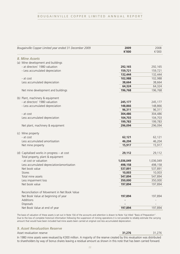| Bougainville Copper Limited year ended 31 December 2009 | 2009<br>K'000 | 2008<br>K'000 |
|---------------------------------------------------------|---------------|---------------|
| 8. Mine Assets                                          |               |               |
| (a) Mine development and buildings                      |               |               |
| - at directors' 1980 valuation                          | 292,165       | 292,165       |
| - Less accumulated depreciation                         | 159,721       | 159,721       |
|                                                         | 132,444       | 132,444       |
| - at cost                                               | 102,988       | 102,988       |
| Less accumulated depreciation                           | 38,664        | 38,664        |
|                                                         | 64,324        | 64,324        |
| Net mine development and buildings                      | 196,768       | 196,768       |
| (b) Plant, machinery & equipment                        |               |               |
| - at directors' 1980 valuation                          | 245,177       | 245,177       |
| - Less accumulated depreciation                         | 148,866       | 148,866       |
|                                                         | 96,311        | 96,311        |
| - at cost                                               | 304,486       | 304,486       |
| Less accumulated depreciation                           | 104,703       | 104,703       |
|                                                         | 199,783       | 199,783       |
| Net plant, machinery & equipment                        | 296,094       | 296,094       |
| (c) Mine property                                       |               |               |
| - at cost                                               | 62,121        | 62,121        |
| Less accumulated amortisation                           | 46,204        | 46,204        |
| Net mine property                                       | 15,917        | 15,917        |
| (d) Capitalised works in progress - at cost             | 29,112        | 29,112        |
| Total property, plant & equipment                       |               |               |
| - at cost or valuation                                  | 1,036,049     | 1,036,049     |
| Less accumulated depreciation/amortisation              | 498,158       | 498,158       |
| Net book value                                          | 537,891       | 537,891       |
| <b>Stores</b>                                           | 10,003        | 10,003        |
| Total mine assets                                       | 547,894       | 547,894       |
| Less impairment loss                                    | 350,000       | 350,000       |
| Net book value                                          | 197,894       | 197,894       |
| Reconciliation of Movement in Net Book Value            |               |               |
| Net Book Value at beginning of year<br>Additions        | 197,894       | 197,894       |
| Disposals                                               |               |               |
| Net Book Value at end of year                           | 197,894       | 197,894       |

The basis of valuation of these assets is set out in Note 1(b) of the accounts and attention is drawn to Note 1(a) titled "Basis of Preparation". Due to the loss of complete historical information following the suspension of mining operations it is not possible to reliably estimate the carrying amount that would have been included had mine assets been carried at original cost less accumulated depreciation.

#### *9. Asset Revaluation Reserve*

#### Asset revaluation reserve **31,276** 31,276

In 1980 mine assets were revalued by K300 million. A majority of the reserve created by this revaluation was distributed to shareholders by way of bonus shares leaving a residual amount as shown in this note that has been carried forward.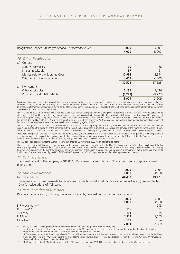| Bougainville Copper Limited year ended 31 December 2009 | 2009<br>K'000 | 2008<br>K'000 |
|---------------------------------------------------------|---------------|---------------|
| <b>10. Other Receivables</b>                            |               |               |
| (a) Current                                             |               |               |
| Sundry receivables                                      | 90            | 68            |
| Interest receivable                                     | 37            | 61            |
| Monies paid to the Supreme Court                        | 12,991        | 12,991        |
| Withholding tax receivable                              | 4,405         | 4,405         |
|                                                         | 17,523        | 17,525        |
| Non-current<br>(b)                                      |               |               |
| Other receivables                                       | 7,136         | 7,136         |
| Provision for doubtful debts                            | (3, 227)      | (3, 227)      |
|                                                         | 3,909         | 3,909         |

Receivables that have been carried forward since the suspension of mining operations have been classified as non-current assets, as the directors consider they are unlikely to be settled within the following year. A significant proportion of these other receivables are receivable from State owned entities, and are considered subject to offset on settlement against amounts owing to the State owned entities included in other payables (Note 6(b)). Long outstanding receivables that are no longer considered collectable have been written off.

The PNG Internal Revenue Commission (IRC) has disallowed BCL's claimed tax depreciation on its Bougainville Assets on the ground that BCL lost/surrendered control of its assets in 1990, and therefore the assets should have been totally depreciated in that year and that the availability of depreciation to offset against BCL's investment income has lapsed through the passage of time. The IRC has issued assessments on that basis. BCL's objections to the assessments were rejected by the IRC and BCL has appealed to the National Court. A hearing date is yet to be set. Our advisors and senior Australian counsel have advised there are good arguments in support of BCL on this matter and have a better than average chance of succeeding against the IRC.

The IRC issued garnishee notices under the Income Tax Act to all the PNG banks requiring them to pay any funds held by them for BCL to the IRC. BCL obtained an injunction preventing the execution of the garnishee but this injunction has since been dismissed. BCL appealed the dismissal of the injunction to the Supreme Court. The Supreme Court heard the appeal, and handed down its decision on the 2nd February 2007, and ordered that the funds being held by the court be paid to the IRC.

There were no significant changes in the state of affairs of the company during the year except on 13 August 2009 the National Court granted a summary judgement requiring payment of the amended assessments prior to the hearing of the substantive appeal against the tax assessments. BCL appealed to the Supreme Court on the National Court decision and on 19 October 2009 a stay was granted in relation to the National Court's decision.

The IRC lodged an appeal against the Supreme Court's stay order on 26 November 2009 which has yet to be heard.

The company believes that its position is supportable and the amounts paid are recoverable (refer also Note 14). Meanwhile the substantive appeal against the tax assessment is pending. In the event the IRC is successful, the impact would be a write off of monies paid to date to the IRC and recognition of any other liability arising from the Court's decision. In the event the court rules against the company or legislation is passed requiring payment, the company will face a substantial drain on its liquid assets. The latest assessment by the IRC of K45,889,606 represents K15,725,529 primary tax and the balance penalties and interest.

#### *11. Ordinary Shares*

The issued capital of the company is 401,062,500 ordinary shares fully paid. No change in issued capital occurred during 2009.

|                               | 2009   | 2008      |
|-------------------------------|--------|-----------|
| <b>12. Fair Value Reserve</b> | K'000  | K'000     |
| Fair value reserve            | 44.437 | (19, 127) |
|                               |        |           |

This reserve records movements for available-for-sale financial assets to fair value. Refer Note 1(b)(i) and Note 19(g) for calculations of 'fair value'.

#### *13. Remuneration of Directors*

Directors' remuneration, including the value of benefits, received during the year is as follows:

|                  | 2009<br>K'000            | 2008<br>K'000 |
|------------------|--------------------------|---------------|
| B R Alexander*** | $\overline{\phantom{a}}$ | 293           |
| R S Burns**      | 156                      | 72            |
| J E Leahy        | 163                      | 85            |
| P R Taylor*      | 1,519                    | 1,565         |
| I J Williams     | 163                      | 54            |
|                  | 2,001                    | 2,069         |

Mr Taylor is the Managing Director and is employed by the Rio Tinto Group which pays his salary and entitlements. A portion of the benefits are re-charged under the Management Services Agreement. The amount indicated in the above table is the proportion of the remuneration benefits which have been re-charged to the company.

\*\* Mr Burns retired from the Rio Tinto Group effective 31 July 2009 but remains on the board as an independent director. Prior to his retirement from the Rio Tinto<br>Group directors' fees of K103,282 were paid to Rio Tinto T directly to Mr Burns as directors' fees. (see Note 18)

\*\*\* Mr Alexander retired on 8 May 2008. He was paid K31,323 in director's fees and K261,391 in retirement benefits during the 2008 reporting period.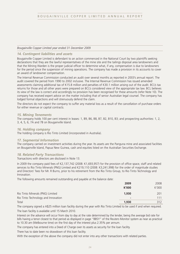#### *Bougainville Copper Limited year ended 31 December 2009*

#### *14. Contingent liabilities and assets*

Bougainville Copper Limited is defendant to an action commenced in the National Court by two plaintiffs seeking declarations that they are the lawful representatives of the mine site and the tailings disposal area landowners and that the Mining Warden is the proper judicial officer to determine what, if any, compensation is due to landowners for the period since the suspension of mining operations. The company has made a provision in its accounts to cover an award of landowner compensation.

The Internal Revenue Commission conducted an audit over several months as reported in 2003's annual report. The audit covered the period from 1990 to 2002 inclusive. The Internal Revenue Commission has issued amended assessments claiming additional tax of K15.8 million and penalties of K30.1 million arising out of the audit. BCL's tax returns for those and all other years were prepared on BCL's considered view of the appropriate tax law. BCL believes its view of the law is correct and accordingly no provision has been recognised for these amounts (refer Note 10). The company has received expert advice on the matter including that of senior Australian legal counsel. The company has lodged formal objections and will strenuously defend the claim.

The directors do not expect the company to suffer any material loss as a result of the cancellation of purchase orders for either revenue or capital contracts.

#### *15. Mining Tenements*

The company holds 100 per cent interest in leases: 1, B9, B6, B8, B7, B2, B10, B3; and prospecting authorities: 1, 2, 3, 4, 5, 6, 7A and 7B on Bougainville Island.

#### *16. Holding company*

The holding company is Rio Tinto Limited (incorporated in Australia).

#### *17. Segmental Information*

The company carried on investment activities during the year. Its assets are the Panguna mine and associated facilities on Bougainville Island, Papua New Guinea, cash and equities listed on the Australian Securities Exchange.

#### *18. Related Party Transactions*

Transactions with directors are disclosed in Note 13.

In 2009 the company paid fees of K2,137,742 (2008: K1,693,957) for the provision of office space, staff and related services to Rio Tinto Minerals (PNG) Limited and K219,110 (2008: K3,241,998) for the order of magnitude studies and Directors' fees for Mr. R Burns, prior to his retirement from the Rio Tinto Group, to Rio Tinto Technology and Innovation.

The following amounts remained outstanding and payable at the balance date:

| Total                               | 1,930                    | 312   |
|-------------------------------------|--------------------------|-------|
| Rio Tinto Technology and Innovation | $\overline{\phantom{a}}$ | 111   |
| Rio Tinto Minerals (PNG) Limited    | 1,930                    | 201   |
|                                     | K'000                    | K'000 |
|                                     | 2009                     | 2008  |

The company signed a A\$25 million loan facility during the year with Rio Tinto Limited to be used if and when required. The loan facility is available until 15 March 2010.

Interest on the advance will occur from day to day at the rate determined by the lender, being the average bid rate for bills having a tenor closest to that period as displayed in page "BBSY" of the Reuters Monitor system as near as practical to 10.30 am (Melbourne time) on the first day of the interest plus 2.35% per annum.

The company has entered into a Deed of Charge over its assets as security for the loan facility.

There has to date been no drawdown of this loan facility.

With the exception of the above the company did not enter into any other transactions with related parties.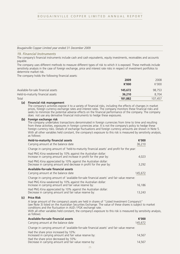*Bougainville Copper Limited year ended 31 December 2009*

#### *19. Financial Instruments*

The company's financial instruments include cash and cash equivalents, equity investments, receivables and accounts payable.

The company uses different methods to measure different types of risk to which it is exposed. These methods include sensitivity analysis in the case of foreign exchange, price and interest rate risks in respect of investment portfolios to determine market risk.

The company holds the following financial assets:

| 2009    | 2008    |
|---------|---------|
| K'000   | K'000   |
| 145,672 | 98,753  |
| 36,210  | 8.704   |
| 181,882 | 107,457 |
|         |         |

#### **(a) Financial risk management**

The company's activities expose it to a variety of financial risks, including the effects of changes in market prices, foreign currency exchange rates and interest rates. The company monitors these financial risks and seeks to minimize the potential adverse effects on the financial performance of the company. The company does not use any derivative financial instruments to hedge these exposures.

#### **(b) Foreign exchange risk**

**(c) Price Risk**

The company undertakes transactions denominated in foreign currencies from time to time and resulting from these activities, exposures in foreign currencies arise. It is not the company's policy to hedge these foreign currency risks. Details of exchange fluctuations and foreign currency amounts are shown in Note 5. With all other variables held constant, the company's exposure to this risk is measured by sensitivity analysis, as follows:

| <b>Held-to-maturity financial assets</b>                                                                                                                                                                                                                              | K'000   |  |
|-----------------------------------------------------------------------------------------------------------------------------------------------------------------------------------------------------------------------------------------------------------------------|---------|--|
| Carrying amount at the balance date                                                                                                                                                                                                                                   | 36,210  |  |
| Change in carrying amount of 'held-to-maturity financial assets' and profit for the year:                                                                                                                                                                             |         |  |
| Had PNG Kina weakened by 10% against the Australian dollar:<br>Increase in carrying amount and increase in profit for the year by:                                                                                                                                    | 4,023   |  |
| Had PNG Kina appreciated by 10% against the Australian dollar:<br>Decrease in carrying amount and decrease in profit for the year by:                                                                                                                                 | 3,292   |  |
| Available-for-sale financial assets                                                                                                                                                                                                                                   |         |  |
| Carrying amount at the balance date                                                                                                                                                                                                                                   | 145,672 |  |
| Change in carrying amount of 'available-for-sale financial assets' and fair value reserve:                                                                                                                                                                            |         |  |
| Had PNG Kina weakened by 10% against the Australian dollar:<br>Increase in carrying amount and fair value reserve by:                                                                                                                                                 | 16,186  |  |
| Had PNG Kina appreciated by 10% against the Australian dollar:<br>Decrease in carrying amount and fair value reserve by:                                                                                                                                              | 13,243  |  |
| <b>Price Risk</b>                                                                                                                                                                                                                                                     |         |  |
| A large amount of the company's assets are held in shares of "Listed Investment Company's"<br>(see Note 3) listed on the Australian Securities Exchange. The value of these shares is subject to market<br>conditions and the fluctuation in AUD / PGK exchange rate. |         |  |
| With all other variables held constant, the company's exposure to this risk is measured by sensitivity ana                                                                                                                                                            |         |  |

With all other variables held constant, the company's exposure to this risk is measured by sensitivity analysis, as follows:

| Available-for-sale financial assets                                                              | K'000   |
|--------------------------------------------------------------------------------------------------|---------|
| Carrying amount at the balance date                                                              | 145,672 |
| Change in carrying amount of 'available-for-sale financial assets' and fair value reserve:       |         |
| Had the share price increased by 10%:<br>Increased in carrying amount and fair value reserve by: | 14,567  |
| Had the share price decreased by 10%:<br>Decrease in carrying amount and fair value reserve by:  | 14,567  |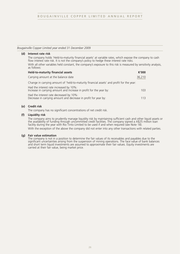#### *Bougainville Copper Limited year ended 31 December 2009*

#### **(d) Interest rate risk**

The company holds 'Held-to-maturity financial assets' at variable rates, which expose the company to cash flow interest rate risk. It is not the company's policy to hedge these interest rate risks. With all other variables held constant, the company's exposure to this risk is measured by sensitivity analysis, as follows:

| <b>Held-to-maturity financial assets</b>                                                                       | <b>K'000</b> |
|----------------------------------------------------------------------------------------------------------------|--------------|
| Carrying amount at the balance date                                                                            | 36,210       |
| Change in carrying amount of 'held-to-maturity financial assets' and profit for the year:                      |              |
| Had the interest rate increased by 10%:<br>Increase in carrying amount and increase in profit for the year by: | 103          |
| Had the interest rate decreased by 10%:<br>Decrease in carrying amount and decrease in profit for year by:     | 113          |

#### **(e) Credit risk**

The company has no significant concentrations of net credit risk.

#### **(f) Liquidity risk**

The company aims to prudently manage liquidity risk by maintaining sufficient cash and other liquid assets or the availability of funding through uncommitted credit facilities. The company signed a A\$25 million loan facility during the year with Rio Tinto Limited to be used if and when required (see Note 18). With the exception of the above the company did not enter into any other transactions with related parties.

#### **(g) Fair value estimation**

The company is not in a position to determine the fair values of its receivables and payables due to the significant uncertainties arising from the suspension of mining operations. The face value of bank balances and short term liquid investments are assumed to approximate their fair values. Equity investments are carried at their fair value, being market price.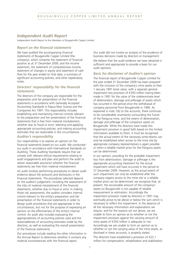# *Independent Audit Report*

*Independent Audit Report to the Members of Bougainville Copper Limited*

### *Report on the financial statements*

We have audited the accompanying financial statements of Bougainville Copper Limited (the company), which comprise the statement of financial position as at 31 December 2009, and the income statement, the statement of comprehensive income, statement of changes in equity and statement of cash flow for the year ended on that date, a summary of significant accounting policies, and other explanatory notes.

### *Directors' responsibility for the financial statements*

The directors of the company are responsible for the preparation and fair presentation of the financial statements in accordance with Generally Accepted Accounting Standards in Papua New Guinea and the Companies Act 1997. This responsibility includes establishing and maintaining internal controls relevant to the preparation and fair presentation of the financial statements that is free from material misstatement, whether due to fraud or error; selecting and applying appropriate accounting policies; and making accounting estimates that are reasonable in the circumstances.

#### *Auditor's responsibility*

Our responsibility is to express an opinion on the financial statements based on our audit. We conducted our audit in accordance with International Standards on Auditing. These Auditing Standards require that we comply with relevant ethical requirements relating to audit engagements and plan and perform the audit to obtain reasonable assurance whether the financial statements are free from material misstatement.

An audit involves performing procedures to obtain audit evidence about the amounts and disclosures in the financial statements. The procedures selected depend on the auditor's judgement, including the assessment of the risks of material misstatement of the financial statements, whether due to fraud or error. In making those risk assessments, the auditor considers internal control relevant to the entity's preparation and fair presentation of the financial statements in order to design audit procedures that are appropriate in the circumstances, but not for the purpose of expressing an opinion on the effectiveness of the entity's internal control. An audit also includes evaluating the appropriateness of accounting policies used and the reasonableness of accounting estimates made by the directors, as well as evaluating the overall presentation of the financial statements.

Our procedures include reading the other information in the Annual Report to determine whether it contains any material inconsistencies with the financial report.

Our audit did not involve an analysis of the prudence of business decisions made by directors or management.

We believe that the audit evidence we have obtained is sufficient and appropriate to provide a basis for our audit opinions.

#### *Basis for disclaimer of Auditor's opinion*

The financial report of Bougainville Copper Limited for the year ended 31 December 2009 has been prepared with the inclusion of the company's mine assets at their 1 January 1991 book value, with a separate general impairment loss provision of K350 million having been made in 1991 for the value of the indeterminate level of deterioration, damage and pilferage of assets which has occurred in the period since the withdrawal of company personnel from Bougainville in 1990. As explained in note 1(b) to the accounts, there continues to be considerable uncertainty surrounding the future of the Panguna mine, and the extent of deterioration, damage and pilferage of the company's assets on Bougainville. While the directors have made this impairment provision in good faith based on the limited information available to them, it must be recognised that the actual extent of the necessary write-downs can only be established when access to the mine site by appropriate company representatives is again possible or when a reliable market price for the Panguna assets can be determined.

In our opinion, providing for the probable impairment loss from deterioration, damage or pilferage is the appropriate accounting treatment for the actual impairment which will have occurred in the period to 31 December 2009. However, as the actual extent of such impairment can only be established after the company regains access to the mine site or a reliable market price can be determined, we recognise that, at present, the recoverable amount of the company's assets on Bougainville is not capable of reliable measurement or estimation. Accordingly the impairment provision made by directors in 1991 may eventually prove to be above or below the sum which is necessary to reflect this impairment. In the absence of all the necessary information and explanations we require, and for the reasons set out above, we are unable to form an opinion as to whether or not the impairment provision against the carrying amount of mine assets of K350 million is adequate or not. Accordingly we are unable to form an opinion as to whether or not the carrying value of the mine assets, as disclosed in these accounts, is properly stated. The directors have established a provision of K22.1 million for compensation, rehabilitation and stabilisation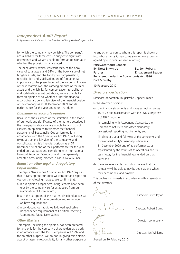## *Independent Audit Report*

*Independent Audit Report to the Members of Bougainville Copper Limited*

for which the company may be liable. The company's actual liability for these costs is subject to significant uncertainty, and we are unable to form an opinion as to whether the provision is fairly stated.

The mine assets, which represent 49% of the book value of total assets and 54% of the book value of net tangible assets, and the liability for compensation, rehabilitation and stabilisation, are of fundamental importance to the presentation of the accounts. In view of these matters over the carrying amount of the mine assets and the liability for compensation, rehabilitation and stabilisation as set out above, we are unable to form an opinion as to whether or not the financial report gives a true and fair view of the financial position of the company as at 31 December 2009 and its performance for the year ended on that date.

#### *Disclaimer of auditor's opinion*

Because of the existence of the limitation in the scope of our work and significance of the matters described in the paragraphs above we are unable to, and do not express, an opinion as to whether the financial statements of Bougainville Copper Limited is in accordance with the Companies Act 1997, including giving a true and fair view of the company's and consolidated entity's financial position as at 31 December 2009 and of their performance for the year ended on that date; and complying with International Financial Reporting Standards and other generally accepted accounting practice in Papua New Guinea.

#### *Report on other legal and regulatory requirements*

The Papua New Guinea Companies Act 1997 requires that in carrying out our audit we consider and report to you on the following matters. We confirm that:

- a)in our opinion proper accounting records have been kept by the company, so far as appears from our examination of those records;
- b)with the exception of the matters described above we have obtained all the information and explanations we have required; and
- c) in conducting our audit we followed applicable independence requirements of Certified Practising Accountants Papua New Guinea.

#### *Other Matters*

This report, including the opinion, has been prepared for and only for the company's shareholders as a body in accordance with the PNG Companies Act 1997 and for no other purpose. We do not, in giving this opinion, accept or assume responsibility for any other purpose or

to any other person to whom this report is shown or into whose hands it may come save where expressly agreed by our prior consent in writing.

PricewaterhouseCoopers By: Brett Entwistle By: Jon Roberts Partner **Engagement Leader** 

Registered under the Accountants Act 1996 Port Moresby

10 February 2010

#### *Directors' declaration*

Directors' declaration Bougainville Copper Limited

In the directors' opinion:

(a) the financial statements and notes set out on pages 15 to 26 are in accordance with the *PNG Companies Act 1997*, including:

(i) complying with Accounting Standards, the Companies Act 1997 and other mandatory professional reporting requirements; and

(ii) giving a true and fair view of the company's and consolidated entity's financial position as at 31 December 2009 and of its performance, as represented by the results of its operations and its

cash flows, for the financial year ended on that date; and

(b) there are reasonable grounds to believe that the company will be able to pay its debts as and when they become due and payable.

This declaration is made in accordance with a resolution of the directors.

Director: Peter Taylor

Signed on 10 February 2010.

Director: John Leahy

Director: Ian Williams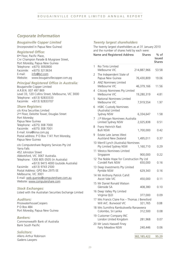# *Corporate Information*

*Bougainville Copper Limited*  (Incorporated in Papua New Guinea)

## *Registered Office:*

6TH Floor, Pacific Place, Cnr Champion Parade & Musgrave Street, Port Moresby, Papua New Guinea Telephone: +(675) 3092800 Facsimile:  $+(675)$  3213634<br>F-mail: info@bcl.com info@bcl.com Website: www.bougainvillecopper.com.pg

# *Principal Registered Office in Australia:*

Bougainville Copper Limited A.R.B.N. 007 497 869 Level 33, 120 Collins Street, Melbourne, VIC 3000 Telephone: +(613) 92833333 Facsimile: +(613) 92833707

#### *Share Registers:*

c/o Kina Securities Limited 2<sup>nd</sup> Floor, Deloitte Tower, Douglas Street Port Moresby Papua New Guinea Telephone: +(675) 308 7000 Facsimile: +(675) 308 7001 E-mail: kina@kina.com.pg Postal address: P O Box 1141 Port Moresby, Papua New Guinea

c/o Computershare Registry Services Pty Ltd Yarra Falls 452 Johnston Street Abbotsford, VIC 3067 Australia. Telephone: 1300 805 0505 (in Australia) +(613) 9415 4000 (outside Australia) Facsimile: +(613) 9743 2500 Postal Address: GPO Box 2975 EE Melbourne, VIC 3001 E-mail: web.queries@computershare.com.au Website: www.computershare.com

#### *Stock Exchanges:*

Listed with the Australian Securities Exchange Limited

#### *Auditors:*

PricewaterhouseCoopers P O Box 484 Port Moresby, Papua New Guinea

*Bankers:* Commonwealth Bank of Australia Bank South Pacific

*Solicitors:* Allens Arthur Robinson Gadens Lawyers

#### *Twenty largest shareholders*

The twenty largest shareholders as at 31 January 2010 and the number of shares held by each were:

|   | Name and Registered Address                                             | <b>Shares</b> | % of<br>Issued<br><b>Shares</b> |
|---|-------------------------------------------------------------------------|---------------|---------------------------------|
| 1 | Rio Tinto Limited<br>Melbourne VIC                                      | 214,887,966   | 53.58                           |
| 2 | The Independent State of<br>Papua New Guinea                            | 76,430,809    | 19.06                           |
| 3 | <b>ANZ Nominees Limited</b><br>Melbourne VIC                            | 46,379,166    | 11.56                           |
| 4 | Citicorp Nominees Pty Limited<br>Melbourne VIC                          | 19,280,319    | 4.81                            |
| 5 | National Nominees Limited<br>Melbourne VIC                              | 7,919,554     | 1.97                            |
| 6 | <b>HSBC Custody Nominees</b><br>(Australia) Limited<br>Sydney NSW       | 6,334,647     | 1.58                            |
| 7 | J P Morgan Nominees Australia<br>Limited Sydney NSW                     | 2,025,838     | 0.51                            |
| 8 | Franz Heinrich Rast<br><b>Bulli NSW</b>                                 | 1,700,000     | 0.42                            |
| 9 | Estate Late James West<br>Auckland New Zealand                          | 1,495,011     | 0.37                            |
|   | 10 Merrill Lynch (Australia) Nominees<br>Pty Limited Sydney NSW         | 1,160,710     | 0.29                            |
|   | 11 Westco Nominees Limited<br>Singapore                                 | 900,000       | 0.22                            |
|   | 12 The Noble Hope for Construction Pty Ltd<br>Condell Park NSW          | 650,000       | 0.16                            |
|   | 13 Deep Investments Pty Limited<br>Pymble NSW                           | 629,343       | 0.16                            |
|   | 14 Mr Anthony Patrick Cahill<br>Ascot Vale VIC                          | 450,000       | 0.11                            |
|   | 15 Mr Daniel Ronald Watson<br>Glenside SA                               | 408,380       | 0.10                            |
|   | 16 Deep Valley Pty Limited<br>Virginia QLD                              | 377,000       | 0.09                            |
|   | 17 Mrs Francis Claire Fox - Thomas J Beresford<br>Will A/C. Burwood VIC | 321,765       | 0.08                            |
|   | 18 Mrs Sumithra Rambukwella Ranaweera<br>Colombo, Sri Lanka             | 312,500       | 0.08                            |
|   | 19 Customer Company INC<br>London United Kingdom                        | 281,968       | 0.07                            |
|   | 20 Mr Lewis Haswell Finey<br>Fairy Meadow NSW                           | 240,446       | 0.06                            |

**382,185,422 95.29**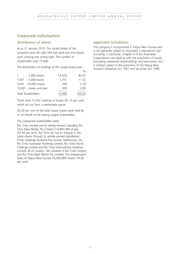# *Corporate Information*

## *Distribution of shares*

As at 31 January 2010: The issued shares of the company were 401,062,500 fully paid one kina shares, each carrying one voting right. The number of shareholders was 15,468.

The distribution of holdings of the issued shares was:  $\sim$ 

|                          |        | 70     |
|--------------------------|--------|--------|
| $-1,000$ shares<br>1     | 13,070 | 84.50  |
| 1,001 - 5,000 shares     | 1,751  | 11.32  |
| 5,001 -10,000 shares     | 338    | 2.18   |
| 10,001 - shares and over | 309    | 2.00   |
| Total Shareholders       | 15,468 | 100.00 |

There were 12,552 holdings of shares (81.15 per cent) which do not form a marketable parcel.

95.29 per cent of the total issued shares were held by or on behalf of the twenty largest shareholders.

The substantial shareholders were:

Rio Tinto Limited and its wholly-owned subsidiary Rio Tinto Base Metals Pty Limited 214,887,966 shares (53.58 per cent); Rio Tinto plc has an interest in the same shares through its wholly-owned subsidiaries' (Tinto Holdings Australia Pty Limited, Melbourne, Vic., Rio Tinto Australian Holdings Limited, Rio Tinto Pacific Holdings Limited and Rio Tinto International Holdings Limited, all of London, UK) interests in Rio Tinto Limited and Rio Tinto Base Metals Pty Limited; The Independent State of Papua New Guinea 76,430,809 shares (19.06 per cent).

## *Applicable Jurisdiction*

The company is incorporated in Papua New Guinea and is not generally subject to Australian Corporations Law including, in particular, Chapter 6 of the Australian Corporations Law dealing with the acquisition of shares (including substantial shareholdings and take-overs), but is instead subject to the provisions of the Papua New Guinea Companies Act 1997 and Securities Act 1998.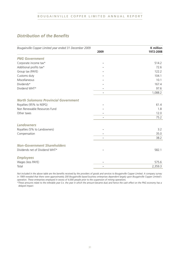# *Distribution of the Benefits*

| Bougainville Copper Limited year ended 31 December 2009 | 2009 | <b>K</b> million<br>1972-2008 |
|---------------------------------------------------------|------|-------------------------------|
| <b>PNG Government</b>                                   |      |                               |
| Corporate income tax*                                   |      | 514.2                         |
| Additional profits tax*                                 |      | 72.6                          |
| Group tax (PAYE)                                        |      | 122.2                         |
| Customs duty                                            |      | 104.1                         |
| Miscellaneous                                           |      | 10.1                          |
| Dividends*                                              |      | 167.4                         |
| Dividend WHT*                                           |      | 97.6                          |
|                                                         |      | 1,088.2                       |
| <b>North Solomons Provincial Government</b>             |      |                               |
| Royalties (95% to NSPG)                                 |      | 61.4                          |
| Non Renewable Resources Fund                            |      | 1.8                           |
| Other taxes                                             |      | 12.0                          |
|                                                         |      | 75.2                          |
| <b>Landowners</b>                                       |      |                               |
| Royalties (5% to Landowners)                            |      | 3.2                           |
| Compensation                                            |      | 35.0                          |
|                                                         |      | 38.2                          |
| <b>Non-Government Shareholders</b>                      |      |                               |
| Dividends net of Dividend WHT*                          |      | 582.1                         |
|                                                         |      |                               |
| <b>Employees</b>                                        |      |                               |
| Wages (less PAYE)                                       |      | 575.6                         |
| Total                                                   |      | 2,359.3                       |

*Not included in the above table are the benefits received by the providers of goods and services to Bougainville Copper Limited. A company survey in 1989 revealed that there were approximately 200 Bougainville based business enterprises dependent largely upon Bougainville Copper Limited's operation. These enterprises employed in excess of 4,000 people prior to the suspension of mining operations.*

*\*These amounts relate to the referable year (i.e. the year in which the amount became due) and hence the cash effect on the PNG economy has a delayed impact.*